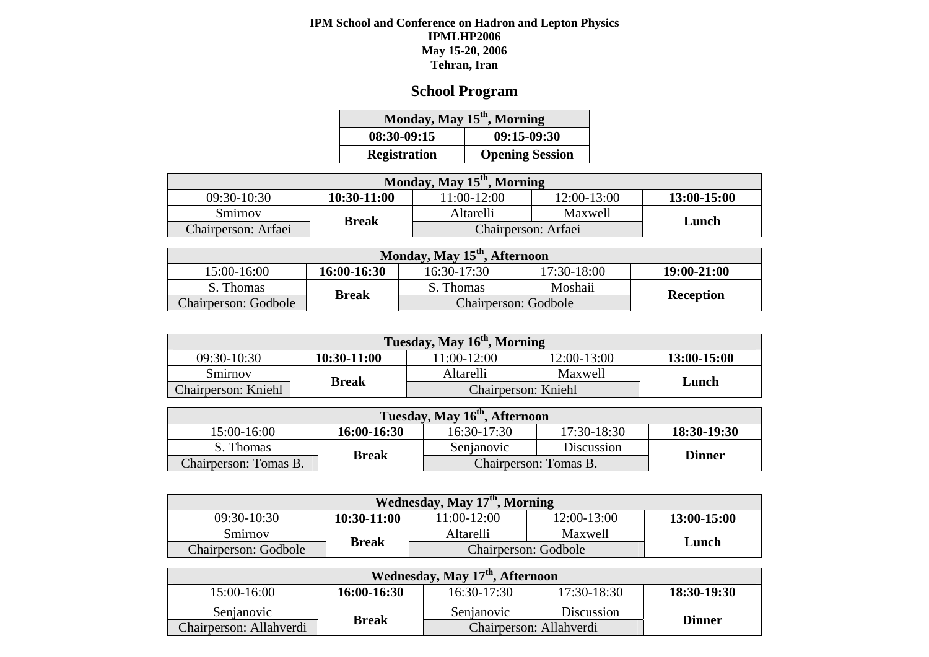#### **IPM School and Conference on Hadron and Lepton Physics IPMLHP2006 May 15-20, 2006 Tehran, Iran**

# **School Program**

| Monday, May 15 <sup>th</sup> , Morning |                        |  |  |  |  |
|----------------------------------------|------------------------|--|--|--|--|
| 08:30-09:15                            | $09:15-09:30$          |  |  |  |  |
| <b>Registration</b>                    | <b>Opening Session</b> |  |  |  |  |

| Monday, May 15 <sup>th</sup> , Morning |              |                     |             |             |  |  |
|----------------------------------------|--------------|---------------------|-------------|-------------|--|--|
| $09:30-10:30$                          | 10:30-11:00  | 11:00-12:00         | 12:00-13:00 | 13:00-15:00 |  |  |
| Smirnov                                |              | Altarelli           |             |             |  |  |
| Chairperson: Arfaei                    | <b>Break</b> | Chairperson: Arfaei | Lunch       |             |  |  |

| Monday, May 15 <sup>th</sup> , Afternoon |              |                      |                  |             |  |  |
|------------------------------------------|--------------|----------------------|------------------|-------------|--|--|
| $15:00-16:00$                            | 16:00-16:30  | $16:30-17:30$        | 17:30-18:00      | 19:00-21:00 |  |  |
| S. Thomas                                |              | S. Thomas            | Moshaii          |             |  |  |
| Chairperson: Godbole                     | <b>Break</b> | Chairperson: Godbole | <b>Reception</b> |             |  |  |

| Tuesday, May 16 <sup>th</sup> , Morning |              |                     |             |             |  |  |
|-----------------------------------------|--------------|---------------------|-------------|-------------|--|--|
| 09:30-10:30                             | 10:30-11:00  | $11:00-12:00$       | 12:00-13:00 | 13:00-15:00 |  |  |
| Smirnov                                 | <b>Break</b> | Altarelli           | Maxwell     | Lunch       |  |  |
| Chairperson: Kniehl                     |              | Chairperson: Kniehl |             |             |  |  |

| Tuesday, May 16 <sup>th</sup> , Afternoon |              |                       |               |             |  |  |
|-------------------------------------------|--------------|-----------------------|---------------|-------------|--|--|
| 15:00-16:00                               | 16:00-16:30  | 16:30-17:30           | 17:30-18:30   | 18:30-19:30 |  |  |
| S. Thomas                                 |              | Senjanovic            |               |             |  |  |
| Chairperson: Tomas B.                     | <b>Break</b> | Chairperson: Tomas B. | <b>Dinner</b> |             |  |  |

| Wednesday, May 17 <sup>th</sup> , Morning |               |                      |             |             |  |  |
|-------------------------------------------|---------------|----------------------|-------------|-------------|--|--|
| 09:30-10:30                               | $10:30-11:00$ | 11:00-12:00          | 12:00-13:00 | 13:00-15:00 |  |  |
| Smirnov                                   |               | Altarelli            |             |             |  |  |
| <b>Chairperson: Godbole</b>               | <b>Break</b>  | Chairperson: Godbole | Lunch       |             |  |  |

| Wednesday, May 17 <sup>th</sup> , Afternoon |              |                         |               |               |  |  |
|---------------------------------------------|--------------|-------------------------|---------------|---------------|--|--|
| 15:00-16:00                                 | 16:00-16:30  | $16:30-17:30$           | $17:30-18:30$ | 18:30-19:30   |  |  |
| Senjanovic                                  | <b>Break</b> | Senjanovic              | Discussion    | <b>Dinner</b> |  |  |
| Chairperson: Allahverdi                     |              | Chairperson: Allahverdi |               |               |  |  |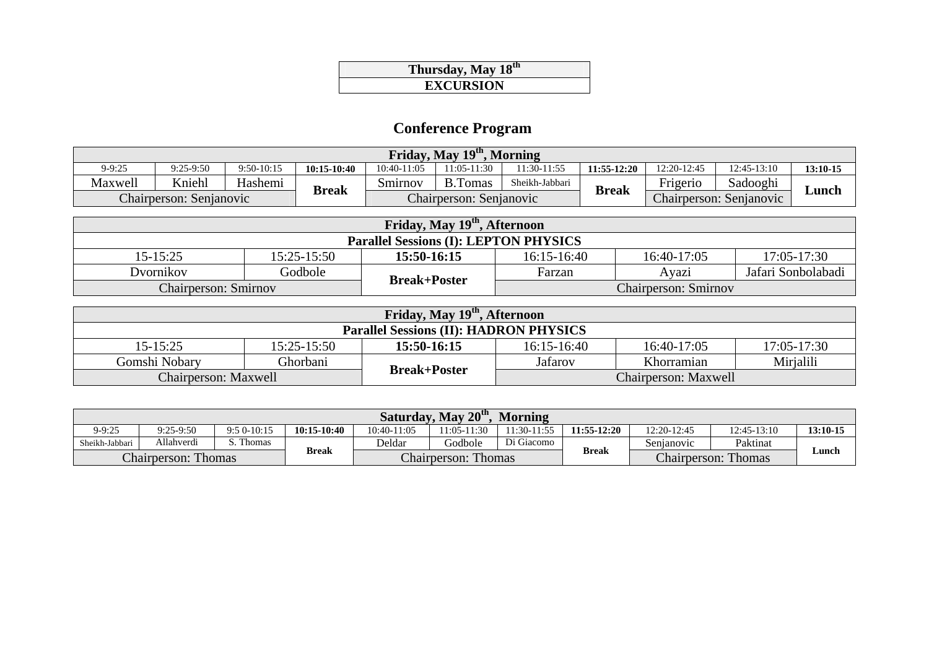### **Thursday, May 18th EXCURSION**

# **Conference Program**

| Friday, May 19th,<br>. Morning |                         |              |                 |               |                         |                |               |                                   |                         |            |
|--------------------------------|-------------------------|--------------|-----------------|---------------|-------------------------|----------------|---------------|-----------------------------------|-------------------------|------------|
| $9 - 9:25$                     | $9:25-9:50$             | $9:50-10:15$ | $10:15 - 10:40$ | $10:40-11:05$ | 11:05-11:30             | 11:30-11:55    | $11:55-12:20$ | 12:20-12:45                       | $12:45-13:10$           | $13:10-15$ |
| Maxwell                        | Kniehl                  | Hashemi      | <b>Break</b>    | Smirnov       | <b>B.Tomas</b>          | Sheikh-Jabbari | <b>Break</b>  | $\mathbf{r}$ .<br><b>Frigerio</b> | Sadooghi                |            |
|                                | Chairperson: Senjanovic |              |                 |               | Chairperson: Senjanovic |                |               |                                   | Chairperson: Senjanovic | ∟unch      |

| Friday, May 19th, Afternoon                  |             |             |                                                    |             |                    |  |  |
|----------------------------------------------|-------------|-------------|----------------------------------------------------|-------------|--------------------|--|--|
| <b>Parallel Sessions (I): LEPTON PHYSICS</b> |             |             |                                                    |             |                    |  |  |
| $15 - 15:25$                                 | 15:25-15:50 | 15:50-16:15 | $16:15-16:40$                                      | 16:40-17:05 | 17:05-17:30        |  |  |
| Dvornikov                                    | Godbole     |             | Farzan                                             | Ayazi       | Jafari Sonbolabadi |  |  |
| <b>Chairperson: Smirnov</b>                  |             |             | <b>Break+Poster</b><br><b>Chairperson: Smirnov</b> |             |                    |  |  |

| Friday, May 19 <sup>th</sup> , Afternoon      |                 |                     |               |                             |                 |  |  |
|-----------------------------------------------|-----------------|---------------------|---------------|-----------------------------|-----------------|--|--|
| <b>Parallel Sessions (II): HADRON PHYSICS</b> |                 |                     |               |                             |                 |  |  |
| $15 - 15:25$                                  | $15:25 - 15:50$ | 15:50-16:15         | $16:15-16:40$ | 16:40-17:05                 | $17:05 - 17:30$ |  |  |
| Gomshi Nobary                                 | Ghorbani        |                     | Jafarov       | Khorramian                  | Mirjalili       |  |  |
| Chairperson: Maxwell                          |                 | <b>Break+Poster</b> |               | <b>Chairperson: Maxwell</b> |                 |  |  |

| Saturday, May 20 <sup>th</sup> ,<br><b>Morning</b> |                            |              |             |                            |                |                                            |               |             |               |            |
|----------------------------------------------------|----------------------------|--------------|-------------|----------------------------|----------------|--------------------------------------------|---------------|-------------|---------------|------------|
| $9 - 9:25$                                         | $9:25-9:50$                | $9:50-10:15$ | 10:15-10:40 | 10:40-11:05                | $1:05 - 11:30$ | 11:30-11:55                                | $11:55-12:20$ | 12:20-12:45 | $12:45-13:10$ | $13:10-15$ |
| Sheikh-Jabbari                                     | Allahverdi                 | Thomas       |             | Deldar                     | Godbole        | Di Giacomo                                 |               | Senianovic  | Paktinat      |            |
|                                                    | <b>Chairperson: Thomas</b> |              | Break       | <b>Chairperson: Thomas</b> |                | <b>Break</b><br><b>Chairperson: Thomas</b> |               |             | Lunch         |            |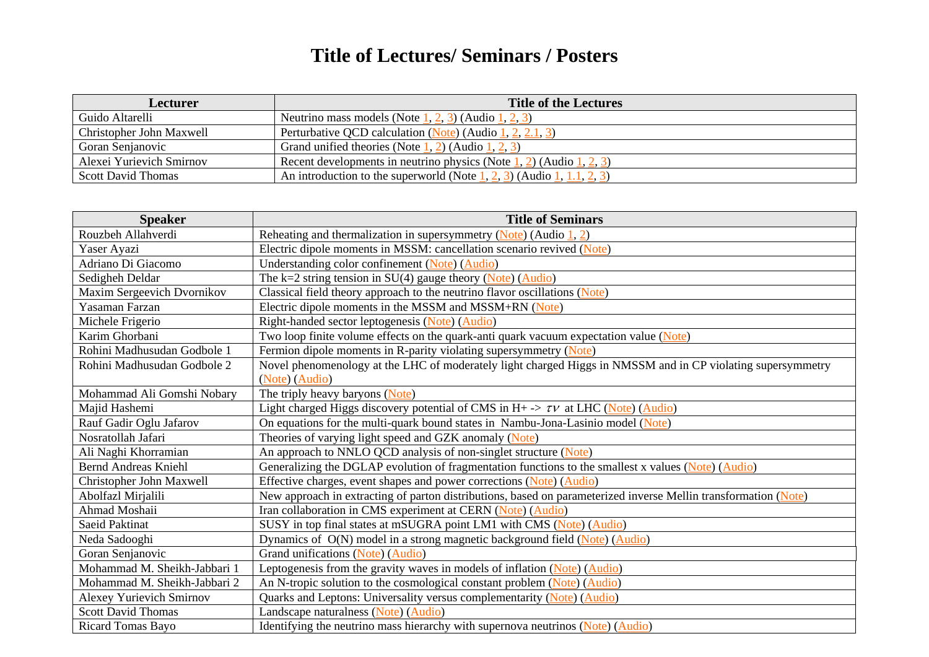## **Title of Lectures/ Seminars / Posters**

| Lecturer                  | <b>Title of the Lectures</b>                                                                                                                   |
|---------------------------|------------------------------------------------------------------------------------------------------------------------------------------------|
| Guido Altarelli           | Neutrino mass models (Note $\underline{1}, \underline{2}, \underline{3}$ ) (Audio $\underline{1}, \underline{2}, \underline{3}$ )              |
| Christopher John Maxwell  | Perturbative QCD calculation (Note) (Audio 1, 2, 2.1, 3)                                                                                       |
| Goran Senjanovic          | Grand unified theories (Note $1, 2$ ) (Audio $1, 2, 3$ )                                                                                       |
| Alexei Yurievich Smirnov  | Recent developments in neutrino physics (Note $\frac{1}{2}$ , 2) (Audio $\frac{1}{2}$ , 2)                                                     |
| <b>Scott David Thomas</b> | An introduction to the superworld (Note $\frac{1}{2}$ , $\frac{2}{3}$ ) (Audio $\frac{1}{2}$ , $\frac{1}{1}$ , $\frac{2}{2}$ , $\frac{3}{2}$ ) |

| <b>Speaker</b>                  | <b>Title of Seminars</b>                                                                                        |
|---------------------------------|-----------------------------------------------------------------------------------------------------------------|
| Rouzbeh Allahverdi              | Reheating and thermalization in supersymmetry (Note) (Audio $1, 2$ )                                            |
| Yaser Ayazi                     | Electric dipole moments in MSSM: cancellation scenario revived (Note)                                           |
| Adriano Di Giacomo              | Understanding color confinement (Note) (Audio)                                                                  |
| Sedigheh Deldar                 | The $k=2$ string tension in SU(4) gauge theory (Note) (Audio)                                                   |
| Maxim Sergeevich Dvornikov      | Classical field theory approach to the neutrino flavor oscillations (Note)                                      |
| Yasaman Farzan                  | Electric dipole moments in the MSSM and MSSM+RN (Note)                                                          |
| Michele Frigerio                | Right-handed sector leptogenesis (Note) (Audio)                                                                 |
| Karim Ghorbani                  | Two loop finite volume effects on the quark-anti quark vacuum expectation value (Note)                          |
| Rohini Madhusudan Godbole 1     | Fermion dipole moments in R-parity violating supersymmetry (Note)                                               |
| Rohini Madhusudan Godbole 2     | Novel phenomenology at the LHC of moderately light charged Higgs in NMSSM and in CP violating supersymmetry     |
|                                 | (Note) (Audio)                                                                                                  |
| Mohammad Ali Gomshi Nobary      | The triply heavy baryons (Note)                                                                                 |
| Majid Hashemi                   | Light charged Higgs discovery potential of CMS in H+ $\rightarrow \tau \nu$ at LHC (Note) (Audio)               |
| Rauf Gadir Oglu Jafarov         | On equations for the multi-quark bound states in Nambu-Jona-Lasinio model (Note)                                |
| Nosratollah Jafari              | Theories of varying light speed and GZK anomaly (Note)                                                          |
| Ali Naghi Khorramian            | An approach to NNLO QCD analysis of non-singlet structure (Note)                                                |
| <b>Bernd Andreas Kniehl</b>     | Generalizing the DGLAP evolution of fragmentation functions to the smallest x values (Note) (Audio)             |
| Christopher John Maxwell        | Effective charges, event shapes and power corrections (Note) (Audio)                                            |
| Abolfazl Mirjalili              | New approach in extracting of parton distributions, based on parameterized inverse Mellin transformation (Note) |
| Ahmad Moshaii                   | Iran collaboration in CMS experiment at CERN (Note) (Audio)                                                     |
| <b>Saeid Paktinat</b>           | SUSY in top final states at mSUGRA point LM1 with CMS (Note) (Audio)                                            |
| Neda Sadooghi                   | Dynamics of O(N) model in a strong magnetic background field (Note) (Audio)                                     |
| Goran Senjanovic                | Grand unifications (Note) (Audio)                                                                               |
| Mohammad M. Sheikh-Jabbari 1    | Leptogenesis from the gravity waves in models of inflation (Note) (Audio)                                       |
| Mohammad M. Sheikh-Jabbari 2    | An N-tropic solution to the cosmological constant problem (Note) (Audio)                                        |
| <b>Alexey Yurievich Smirnov</b> | Quarks and Leptons: Universality versus complementarity (Note) (Audio)                                          |
| <b>Scott David Thomas</b>       | Landscape naturalness (Note) (Audio)                                                                            |
| Ricard Tomas Bayo               | Identifying the neutrino mass hierarchy with supernova neutrinos (Note) (Audio)                                 |